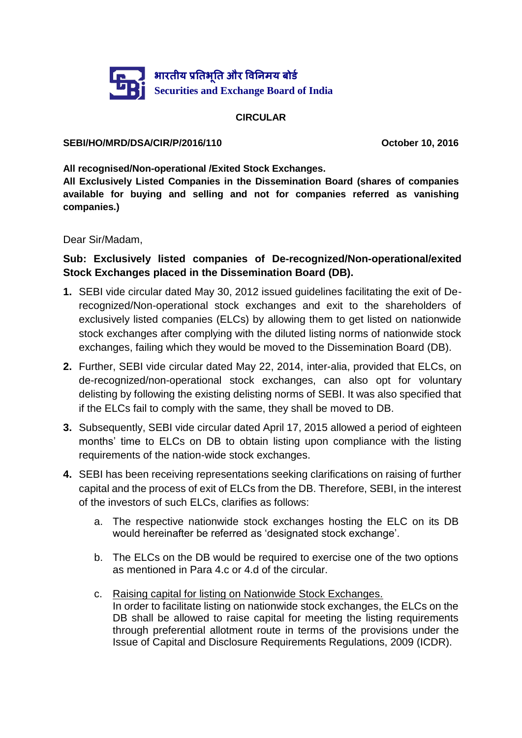

### **CIRCULAR**

#### **SEBI/HO/MRD/DSA/CIR/P/2016/110 October 10, 2016**

**All recognised/Non-operational /Exited Stock Exchanges.**

**All Exclusively Listed Companies in the Dissemination Board (shares of companies available for buying and selling and not for companies referred as vanishing companies.)**

Dear Sir/Madam,

# **Sub: Exclusively listed companies of De-recognized/Non-operational/exited Stock Exchanges placed in the Dissemination Board (DB).**

- **1.** SEBI vide circular dated May 30, 2012 issued guidelines facilitating the exit of Derecognized/Non-operational stock exchanges and exit to the shareholders of exclusively listed companies (ELCs) by allowing them to get listed on nationwide stock exchanges after complying with the diluted listing norms of nationwide stock exchanges, failing which they would be moved to the Dissemination Board (DB).
- **2.** Further, SEBI vide circular dated May 22, 2014, inter-alia, provided that ELCs, on de-recognized/non-operational stock exchanges, can also opt for voluntary delisting by following the existing delisting norms of SEBI. It was also specified that if the ELCs fail to comply with the same, they shall be moved to DB.
- **3.** Subsequently, SEBI vide circular dated April 17, 2015 allowed a period of eighteen months' time to ELCs on DB to obtain listing upon compliance with the listing requirements of the nation-wide stock exchanges.
- **4.** SEBI has been receiving representations seeking clarifications on raising of further capital and the process of exit of ELCs from the DB. Therefore, SEBI, in the interest of the investors of such ELCs, clarifies as follows:
	- a. The respective nationwide stock exchanges hosting the ELC on its DB would hereinafter be referred as 'designated stock exchange'.
	- b. The ELCs on the DB would be required to exercise one of the two options as mentioned in Para 4.c or 4.d of the circular.
	- c. Raising capital for listing on Nationwide Stock Exchanges. In order to facilitate listing on nationwide stock exchanges, the ELCs on the DB shall be allowed to raise capital for meeting the listing requirements through preferential allotment route in terms of the provisions under the Issue of Capital and Disclosure Requirements Regulations, 2009 (ICDR).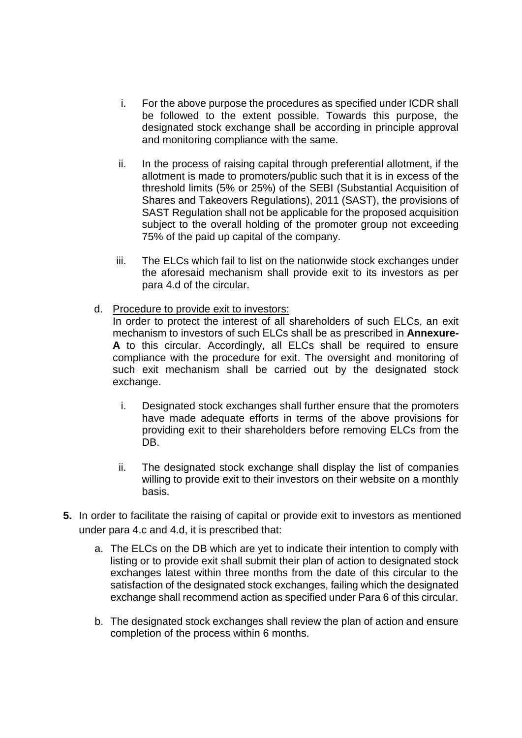- i. For the above purpose the procedures as specified under ICDR shall be followed to the extent possible. Towards this purpose, the designated stock exchange shall be according in principle approval and monitoring compliance with the same.
- ii. In the process of raising capital through preferential allotment, if the allotment is made to promoters/public such that it is in excess of the threshold limits (5% or 25%) of the SEBI (Substantial Acquisition of Shares and Takeovers Regulations), 2011 (SAST), the provisions of SAST Regulation shall not be applicable for the proposed acquisition subject to the overall holding of the promoter group not exceeding 75% of the paid up capital of the company.
- iii. The ELCs which fail to list on the nationwide stock exchanges under the aforesaid mechanism shall provide exit to its investors as per para 4.d of the circular.
- d. Procedure to provide exit to investors:

In order to protect the interest of all shareholders of such ELCs, an exit mechanism to investors of such ELCs shall be as prescribed in **Annexure-A** to this circular. Accordingly, all ELCs shall be required to ensure compliance with the procedure for exit. The oversight and monitoring of such exit mechanism shall be carried out by the designated stock exchange.

- i. Designated stock exchanges shall further ensure that the promoters have made adequate efforts in terms of the above provisions for providing exit to their shareholders before removing ELCs from the DB.
- ii. The designated stock exchange shall display the list of companies willing to provide exit to their investors on their website on a monthly basis.
- **5.** In order to facilitate the raising of capital or provide exit to investors as mentioned under para 4.c and 4.d, it is prescribed that:
	- a. The ELCs on the DB which are yet to indicate their intention to comply with listing or to provide exit shall submit their plan of action to designated stock exchanges latest within three months from the date of this circular to the satisfaction of the designated stock exchanges, failing which the designated exchange shall recommend action as specified under Para 6 of this circular.
	- b. The designated stock exchanges shall review the plan of action and ensure completion of the process within 6 months.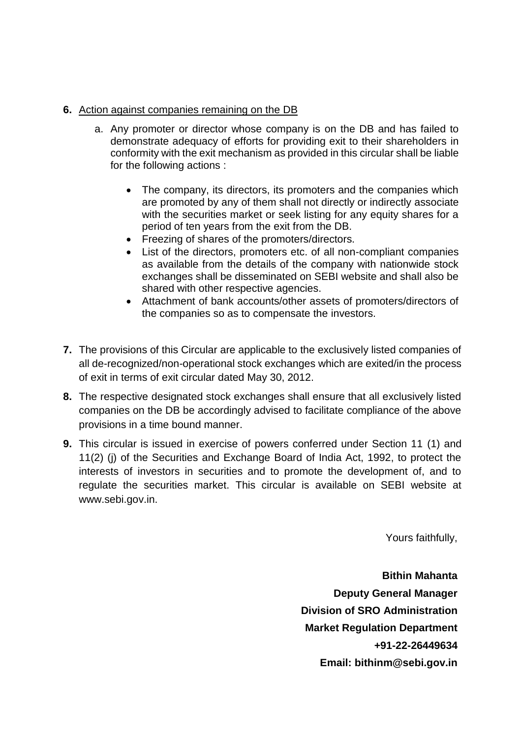### **6.** Action against companies remaining on the DB

- a. Any promoter or director whose company is on the DB and has failed to demonstrate adequacy of efforts for providing exit to their shareholders in conformity with the exit mechanism as provided in this circular shall be liable for the following actions :
	- The company, its directors, its promoters and the companies which are promoted by any of them shall not directly or indirectly associate with the securities market or seek listing for any equity shares for a period of ten years from the exit from the DB.
	- Freezing of shares of the promoters/directors.
	- List of the directors, promoters etc. of all non-compliant companies as available from the details of the company with nationwide stock exchanges shall be disseminated on SEBI website and shall also be shared with other respective agencies.
	- Attachment of bank accounts/other assets of promoters/directors of the companies so as to compensate the investors.
- **7.** The provisions of this Circular are applicable to the exclusively listed companies of all de-recognized/non-operational stock exchanges which are exited/in the process of exit in terms of exit circular dated May 30, 2012.
- **8.** The respective designated stock exchanges shall ensure that all exclusively listed companies on the DB be accordingly advised to facilitate compliance of the above provisions in a time bound manner.
- **9.** This circular is issued in exercise of powers conferred under Section 11 (1) and 11(2) (j) of the Securities and Exchange Board of India Act, 1992, to protect the interests of investors in securities and to promote the development of, and to regulate the securities market. This circular is available on SEBI website at www.sebi.gov.in.

Yours faithfully,

**Bithin Mahanta Deputy General Manager Division of SRO Administration Market Regulation Department +91-22-26449634 Email: bithinm@sebi.gov.in**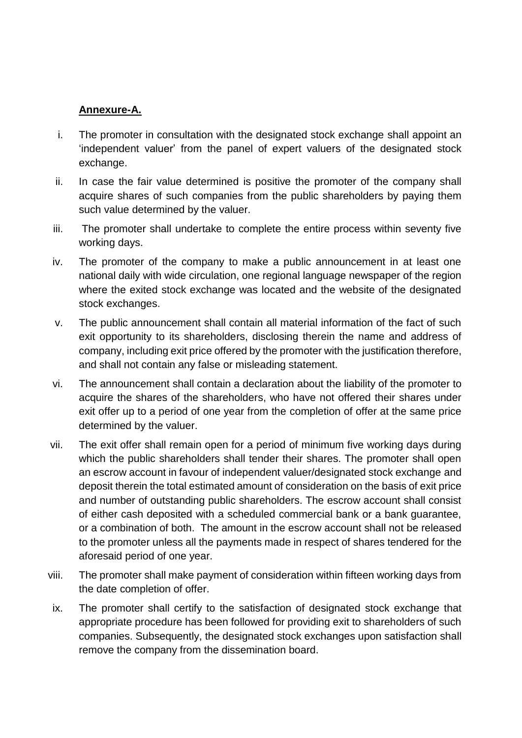## **Annexure-A.**

- i. The promoter in consultation with the designated stock exchange shall appoint an 'independent valuer' from the panel of expert valuers of the designated stock exchange.
- ii. In case the fair value determined is positive the promoter of the company shall acquire shares of such companies from the public shareholders by paying them such value determined by the valuer.
- iii. The promoter shall undertake to complete the entire process within seventy five working days.
- iv. The promoter of the company to make a public announcement in at least one national daily with wide circulation, one regional language newspaper of the region where the exited stock exchange was located and the website of the designated stock exchanges.
- v. The public announcement shall contain all material information of the fact of such exit opportunity to its shareholders, disclosing therein the name and address of company, including exit price offered by the promoter with the justification therefore, and shall not contain any false or misleading statement.
- vi. The announcement shall contain a declaration about the liability of the promoter to acquire the shares of the shareholders, who have not offered their shares under exit offer up to a period of one year from the completion of offer at the same price determined by the valuer.
- vii. The exit offer shall remain open for a period of minimum five working days during which the public shareholders shall tender their shares. The promoter shall open an escrow account in favour of independent valuer/designated stock exchange and deposit therein the total estimated amount of consideration on the basis of exit price and number of outstanding public shareholders. The escrow account shall consist of either cash deposited with a scheduled commercial bank or a bank guarantee, or a combination of both. The amount in the escrow account shall not be released to the promoter unless all the payments made in respect of shares tendered for the aforesaid period of one year.
- viii. The promoter shall make payment of consideration within fifteen working days from the date completion of offer.
- ix. The promoter shall certify to the satisfaction of designated stock exchange that appropriate procedure has been followed for providing exit to shareholders of such companies. Subsequently, the designated stock exchanges upon satisfaction shall remove the company from the dissemination board.